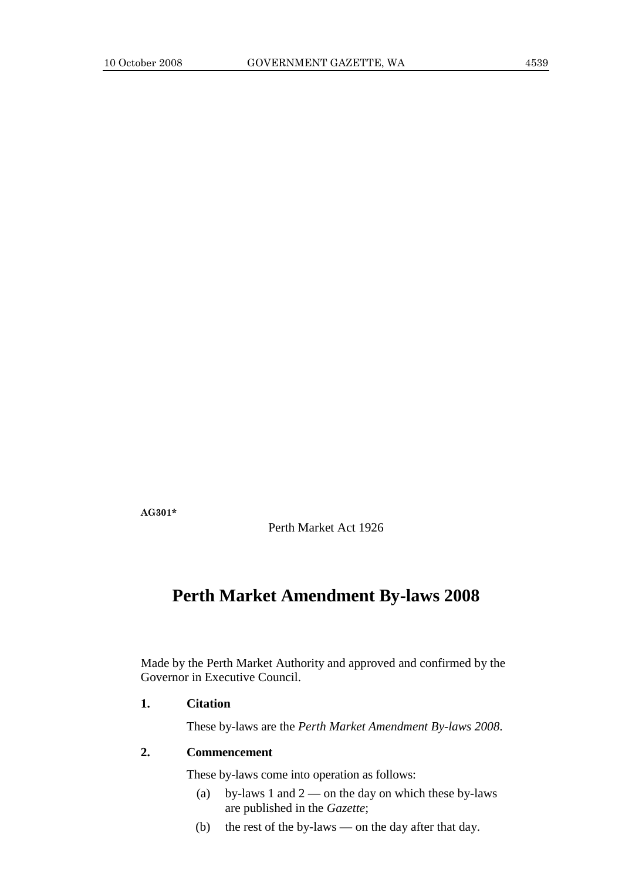**AG301\*** 

Perth Market Act 1926

# **Perth Market Amendment By-laws 2008**

Made by the Perth Market Authority and approved and confirmed by the Governor in Executive Council.

## **1. Citation**

These by-laws are the *Perth Market Amendment By-laws 2008*.

## **2. Commencement**

These by-laws come into operation as follows:

- (a) by-laws 1 and  $2$  on the day on which these by-laws are published in the *Gazette*;
- (b) the rest of the by-laws on the day after that day.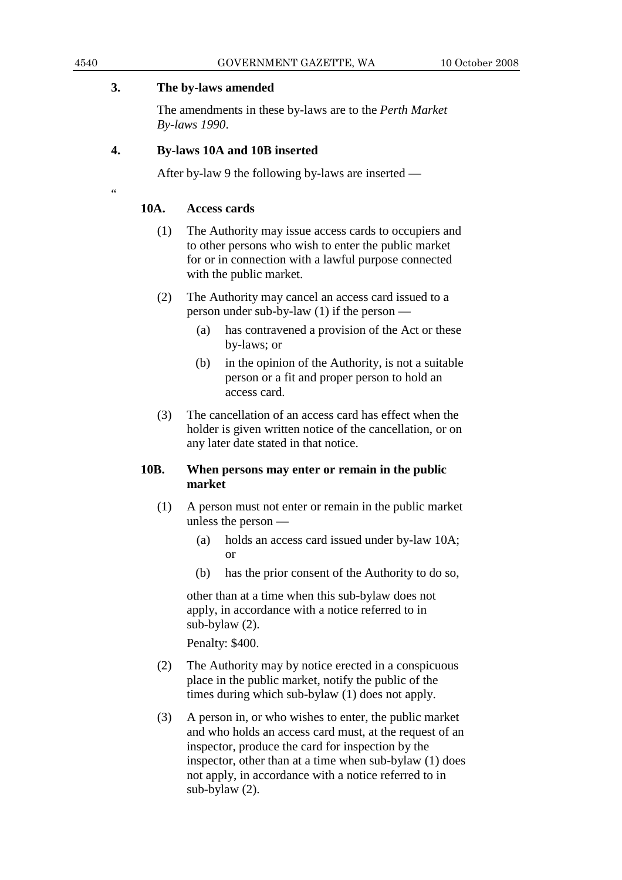#### **3. The by-laws amended**

 The amendments in these by-laws are to the *Perth Market By-laws 1990*.

#### **4. By-laws 10A and 10B inserted**

After by-law 9 the following by-laws are inserted —

 $\epsilon$ 

#### **10A. Access cards**

- (1) The Authority may issue access cards to occupiers and to other persons who wish to enter the public market for or in connection with a lawful purpose connected with the public market.
- (2) The Authority may cancel an access card issued to a person under sub-by-law (1) if the person —
	- (a) has contravened a provision of the Act or these by-laws; or
	- (b) in the opinion of the Authority, is not a suitable person or a fit and proper person to hold an access card.
- (3) The cancellation of an access card has effect when the holder is given written notice of the cancellation, or on any later date stated in that notice.

### **10B. When persons may enter or remain in the public market**

- (1) A person must not enter or remain in the public market unless the person —
	- (a) holds an access card issued under by-law 10A; or
	- (b) has the prior consent of the Authority to do so,

 other than at a time when this sub-bylaw does not apply, in accordance with a notice referred to in sub-bylaw (2).

Penalty: \$400.

- (2) The Authority may by notice erected in a conspicuous place in the public market, notify the public of the times during which sub-bylaw (1) does not apply.
- (3) A person in, or who wishes to enter, the public market and who holds an access card must, at the request of an inspector, produce the card for inspection by the inspector, other than at a time when sub-bylaw (1) does not apply, in accordance with a notice referred to in sub-bylaw (2).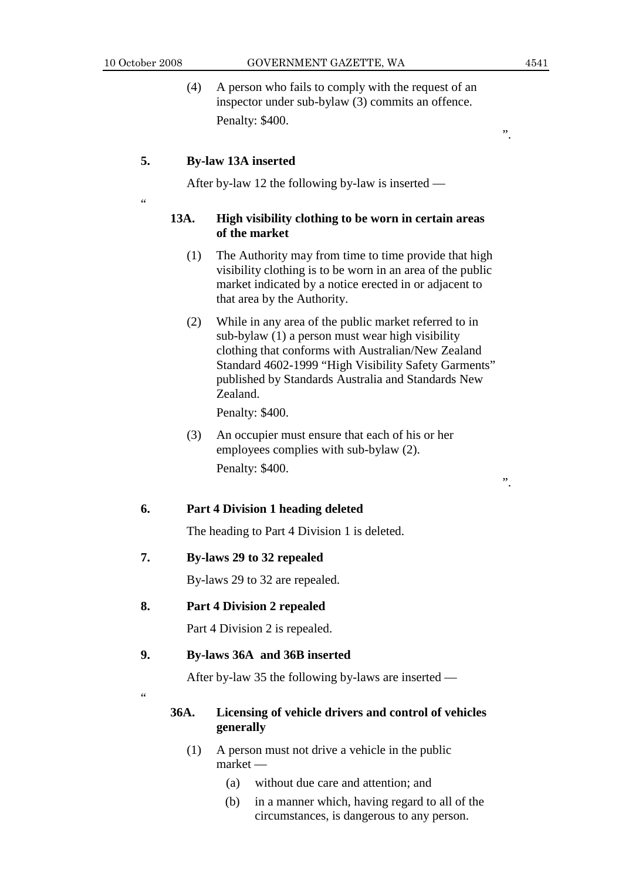$\epsilon$ 

 (4) A person who fails to comply with the request of an inspector under sub-bylaw (3) commits an offence. Penalty: \$400.

#### **5. By-law 13A inserted**

After by-law 12 the following by-law is inserted —

#### **13A. High visibility clothing to be worn in certain areas of the market**

- (1) The Authority may from time to time provide that high visibility clothing is to be worn in an area of the public market indicated by a notice erected in or adjacent to that area by the Authority.
- (2) While in any area of the public market referred to in sub-bylaw (1) a person must wear high visibility clothing that conforms with Australian/New Zealand Standard 4602-1999 "High Visibility Safety Garments" published by Standards Australia and Standards New Zealand.

Penalty: \$400.

 (3) An occupier must ensure that each of his or her employees complies with sub-bylaw (2). Penalty: \$400.

#### **6. Part 4 Division 1 heading deleted**

The heading to Part 4 Division 1 is deleted.

#### **7. By-laws 29 to 32 repealed**

By-laws 29 to 32 are repealed.

### **8. Part 4 Division 2 repealed**

Part 4 Division 2 is repealed.

#### **9. By-laws 36A and 36B inserted**

After by-law 35 the following by-laws are inserted —

 $\alpha$ 

#### **36A. Licensing of vehicle drivers and control of vehicles generally**

- (1) A person must not drive a vehicle in the public market —
	- (a) without due care and attention; and
	- (b) in a manner which, having regard to all of the circumstances, is dangerous to any person.

".

".